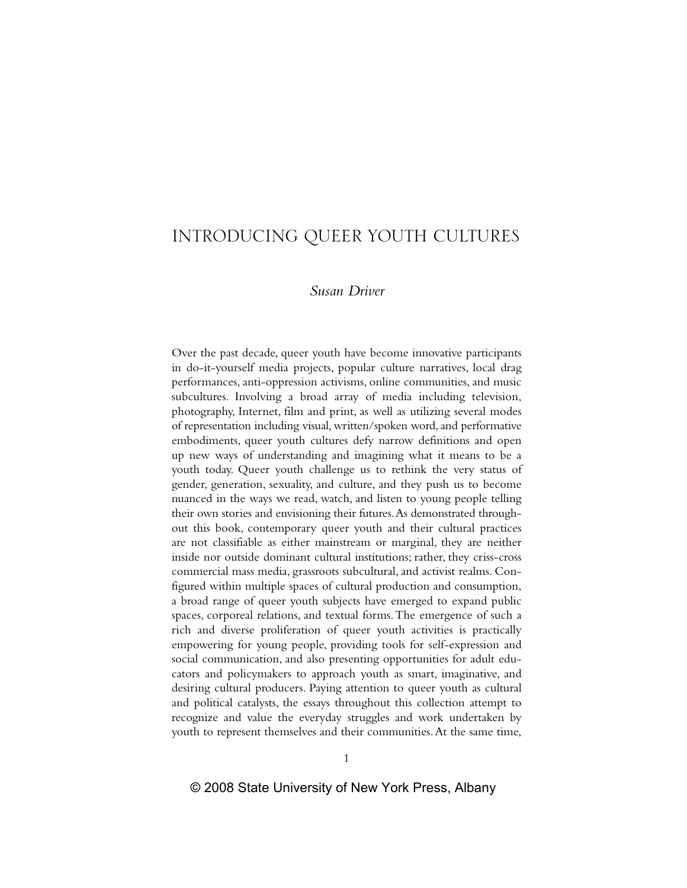# INTRODUCING QUEER YOUTH CULTURES

## *Susan Driver*

Over the past decade, queer youth have become innovative participants in do-it-yourself media projects, popular culture narratives, local drag performances, anti-oppression activisms, online communities, and music subcultures. Involving a broad array of media including television, photography, Internet, film and print, as well as utilizing several modes of representation including visual, written/spoken word, and performative embodiments, queer youth cultures defy narrow definitions and open up new ways of understanding and imagining what it means to be a youth today. Queer youth challenge us to rethink the very status of gender, generation, sexuality, and culture, and they push us to become nuanced in the ways we read, watch, and listen to young people telling their own stories and envisioning their futures. As demonstrated throughout this book, contemporary queer youth and their cultural practices are not classifiable as either mainstream or marginal, they are neither inside nor outside dominant cultural institutions; rather, they criss-cross commercial mass media, grassroots subcultural, and activist realms. Configured within multiple spaces of cultural production and consumption, a broad range of queer youth subjects have emerged to expand public spaces, corporeal relations, and textual forms. The emergence of such a rich and diverse proliferation of queer youth activities is practically empowering for young people, providing tools for self-expression and social communication, and also presenting opportunities for adult educators and policymakers to approach youth as smart, imaginative, and desiring cultural producers. Paying attention to queer youth as cultural and political catalysts, the essays throughout this collection attempt to recognize and value the everyday struggles and work undertaken by youth to represent themselves and their communities. At the same time,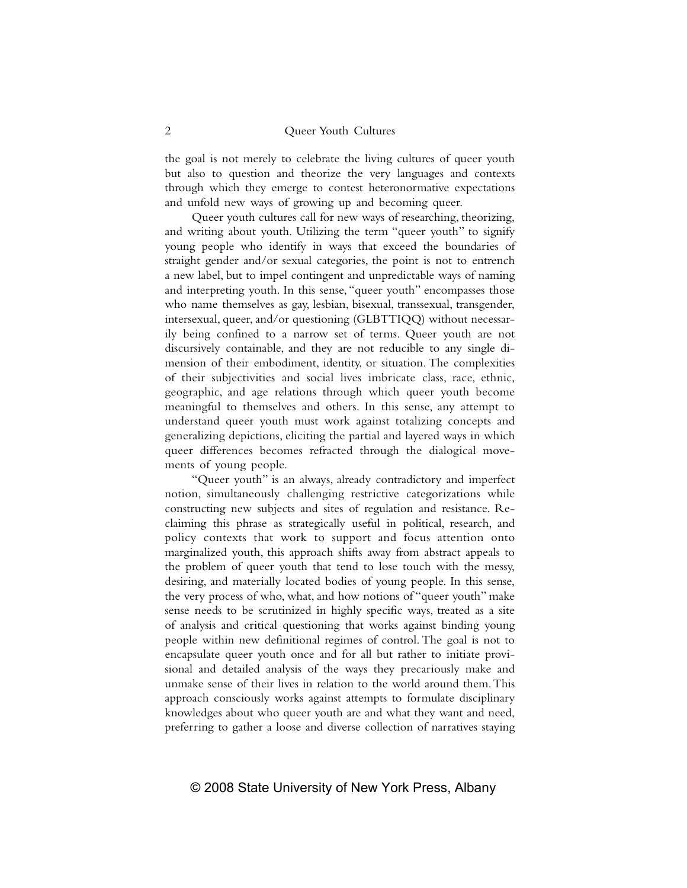the goal is not merely to celebrate the living cultures of queer youth but also to question and theorize the very languages and contexts through which they emerge to contest heteronormative expectations and unfold new ways of growing up and becoming queer.

Queer youth cultures call for new ways of researching, theorizing, and writing about youth. Utilizing the term "queer youth" to signify young people who identify in ways that exceed the boundaries of straight gender and/or sexual categories, the point is not to entrench a new label, but to impel contingent and unpredictable ways of naming and interpreting youth. In this sense, "queer youth" encompasses those who name themselves as gay, lesbian, bisexual, transsexual, transgender, intersexual, queer, and/or questioning (GLBTTIQQ) without necessarily being confined to a narrow set of terms. Queer youth are not discursively containable, and they are not reducible to any single dimension of their embodiment, identity, or situation. The complexities of their subjectivities and social lives imbricate class, race, ethnic, geographic, and age relations through which queer youth become meaningful to themselves and others. In this sense, any attempt to understand queer youth must work against totalizing concepts and generalizing depictions, eliciting the partial and layered ways in which queer differences becomes refracted through the dialogical movements of young people.

"Queer youth" is an always, already contradictory and imperfect notion, simultaneously challenging restrictive categorizations while constructing new subjects and sites of regulation and resistance. Reclaiming this phrase as strategically useful in political, research, and policy contexts that work to support and focus attention onto marginalized youth, this approach shifts away from abstract appeals to the problem of queer youth that tend to lose touch with the messy, desiring, and materially located bodies of young people. In this sense, the very process of who, what, and how notions of "queer youth" make sense needs to be scrutinized in highly specific ways, treated as a site of analysis and critical questioning that works against binding young people within new definitional regimes of control. The goal is not to encapsulate queer youth once and for all but rather to initiate provisional and detailed analysis of the ways they precariously make and unmake sense of their lives in relation to the world around them. This approach consciously works against attempts to formulate disciplinary knowledges about who queer youth are and what they want and need, preferring to gather a loose and diverse collection of narratives staying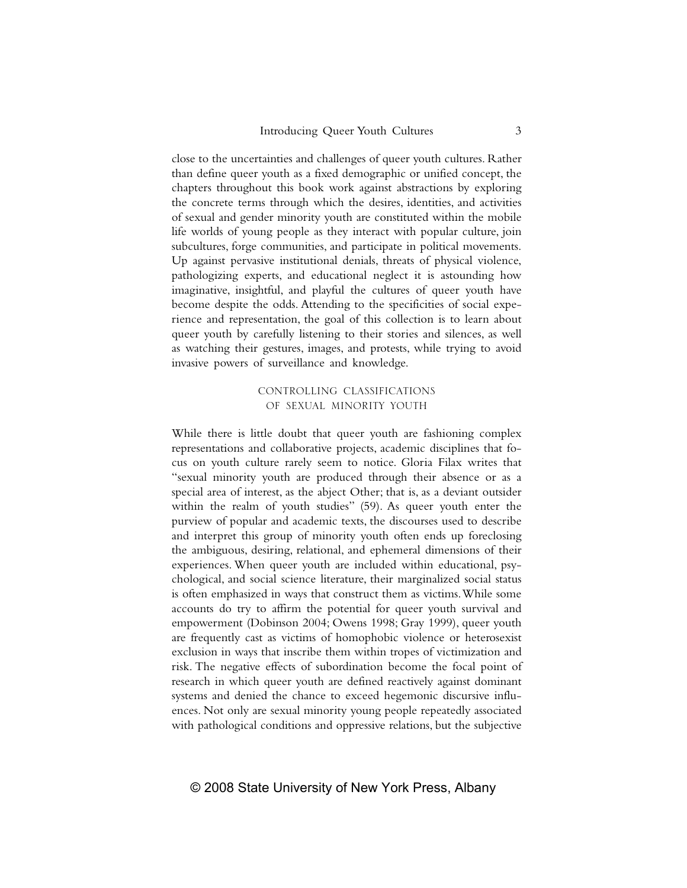close to the uncertainties and challenges of queer youth cultures. Rather than define queer youth as a fixed demographic or unified concept, the chapters throughout this book work against abstractions by exploring the concrete terms through which the desires, identities, and activities of sexual and gender minority youth are constituted within the mobile life worlds of young people as they interact with popular culture, join subcultures, forge communities, and participate in political movements. Up against pervasive institutional denials, threats of physical violence, pathologizing experts, and educational neglect it is astounding how imaginative, insightful, and playful the cultures of queer youth have become despite the odds. Attending to the specificities of social experience and representation, the goal of this collection is to learn about queer youth by carefully listening to their stories and silences, as well as watching their gestures, images, and protests, while trying to avoid invasive powers of surveillance and knowledge.

### CONTROLLING CLASSIFICATIONS OF SEXUAL MINORITY YOUTH

While there is little doubt that queer youth are fashioning complex representations and collaborative projects, academic disciplines that focus on youth culture rarely seem to notice. Gloria Filax writes that "sexual minority youth are produced through their absence or as a special area of interest, as the abject Other; that is, as a deviant outsider within the realm of youth studies" (59). As queer youth enter the purview of popular and academic texts, the discourses used to describe and interpret this group of minority youth often ends up foreclosing the ambiguous, desiring, relational, and ephemeral dimensions of their experiences. When queer youth are included within educational, psychological, and social science literature, their marginalized social status is often emphasized in ways that construct them as victims. While some accounts do try to affirm the potential for queer youth survival and empowerment (Dobinson 2004; Owens 1998; Gray 1999), queer youth are frequently cast as victims of homophobic violence or heterosexist exclusion in ways that inscribe them within tropes of victimization and risk. The negative effects of subordination become the focal point of research in which queer youth are defined reactively against dominant systems and denied the chance to exceed hegemonic discursive influences. Not only are sexual minority young people repeatedly associated with pathological conditions and oppressive relations, but the subjective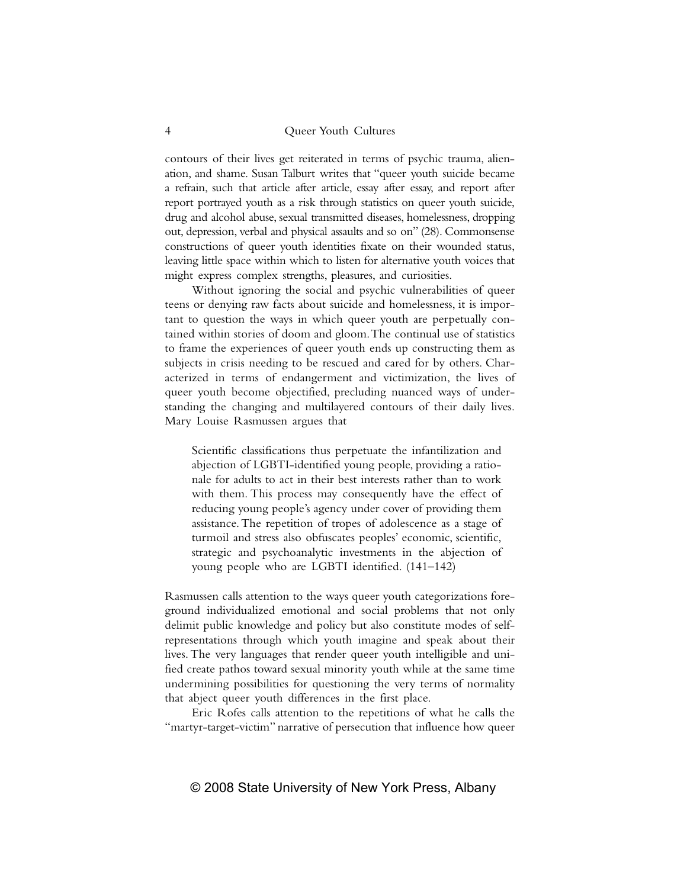contours of their lives get reiterated in terms of psychic trauma, alienation, and shame. Susan Talburt writes that "queer youth suicide became a refrain, such that article after article, essay after essay, and report after report portrayed youth as a risk through statistics on queer youth suicide, drug and alcohol abuse, sexual transmitted diseases, homelessness, dropping out, depression, verbal and physical assaults and so on" (28). Commonsense constructions of queer youth identities fixate on their wounded status, leaving little space within which to listen for alternative youth voices that might express complex strengths, pleasures, and curiosities.

Without ignoring the social and psychic vulnerabilities of queer teens or denying raw facts about suicide and homelessness, it is important to question the ways in which queer youth are perpetually contained within stories of doom and gloom. The continual use of statistics to frame the experiences of queer youth ends up constructing them as subjects in crisis needing to be rescued and cared for by others. Characterized in terms of endangerment and victimization, the lives of queer youth become objectified, precluding nuanced ways of understanding the changing and multilayered contours of their daily lives. Mary Louise Rasmussen argues that

Scientific classifications thus perpetuate the infantilization and abjection of LGBTI-identified young people, providing a rationale for adults to act in their best interests rather than to work with them. This process may consequently have the effect of reducing young people's agency under cover of providing them assistance. The repetition of tropes of adolescence as a stage of turmoil and stress also obfuscates peoples' economic, scientific, strategic and psychoanalytic investments in the abjection of young people who are LGBTI identified. (141–142)

Rasmussen calls attention to the ways queer youth categorizations foreground individualized emotional and social problems that not only delimit public knowledge and policy but also constitute modes of selfrepresentations through which youth imagine and speak about their lives. The very languages that render queer youth intelligible and unified create pathos toward sexual minority youth while at the same time undermining possibilities for questioning the very terms of normality that abject queer youth differences in the first place.

Eric Rofes calls attention to the repetitions of what he calls the "martyr-target-victim" narrative of persecution that influence how queer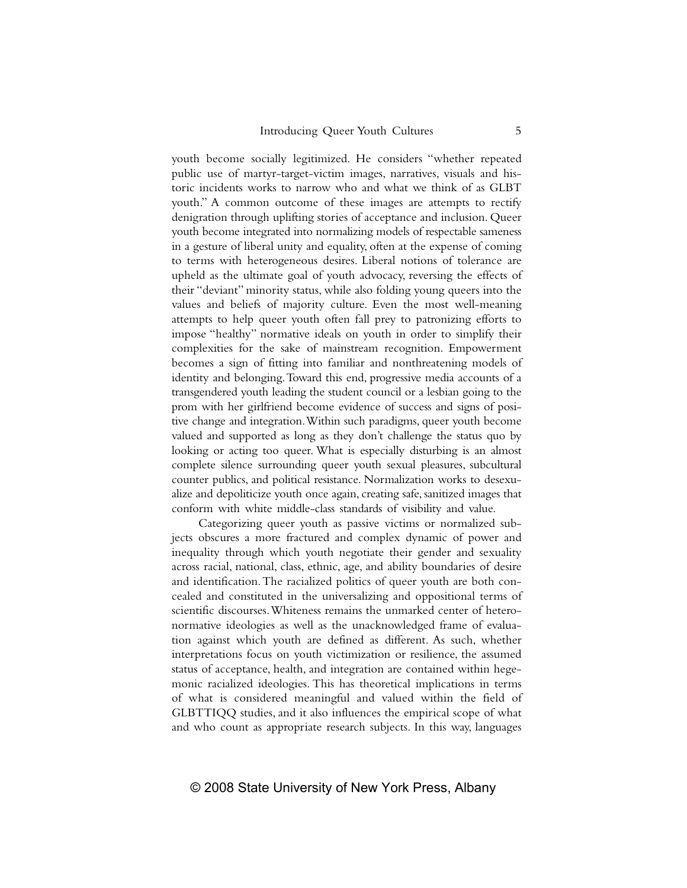youth become socially legitimized. He considers "whether repeated public use of martyr-target-victim images, narratives, visuals and historic incidents works to narrow who and what we think of as GLBT youth." A common outcome of these images are attempts to rectify denigration through uplifting stories of acceptance and inclusion. Queer youth become integrated into normalizing models of respectable sameness in a gesture of liberal unity and equality, often at the expense of coming to terms with heterogeneous desires. Liberal notions of tolerance are upheld as the ultimate goal of youth advocacy, reversing the effects of their "deviant" minority status, while also folding young queers into the values and beliefs of majority culture. Even the most well-meaning attempts to help queer youth often fall prey to patronizing efforts to impose "healthy" normative ideals on youth in order to simplify their complexities for the sake of mainstream recognition. Empowerment becomes a sign of fitting into familiar and nonthreatening models of identity and belonging. Toward this end, progressive media accounts of a transgendered youth leading the student council or a lesbian going to the prom with her girlfriend become evidence of success and signs of positive change and integration. Within such paradigms, queer youth become valued and supported as long as they don't challenge the status quo by looking or acting too queer. What is especially disturbing is an almost complete silence surrounding queer youth sexual pleasures, subcultural counter publics, and political resistance. Normalization works to desexualize and depoliticize youth once again, creating safe, sanitized images that conform with white middle-class standards of visibility and value.

Categorizing queer youth as passive victims or normalized subjects obscures a more fractured and complex dynamic of power and inequality through which youth negotiate their gender and sexuality across racial, national, class, ethnic, age, and ability boundaries of desire and identification. The racialized politics of queer youth are both concealed and constituted in the universalizing and oppositional terms of scientific discourses. Whiteness remains the unmarked center of heteronormative ideologies as well as the unacknowledged frame of evaluation against which youth are defined as different. As such, whether interpretations focus on youth victimization or resilience, the assumed status of acceptance, health, and integration are contained within hegemonic racialized ideologies. This has theoretical implications in terms of what is considered meaningful and valued within the field of GLBTTIQQ studies, and it also influences the empirical scope of what and who count as appropriate research subjects. In this way, languages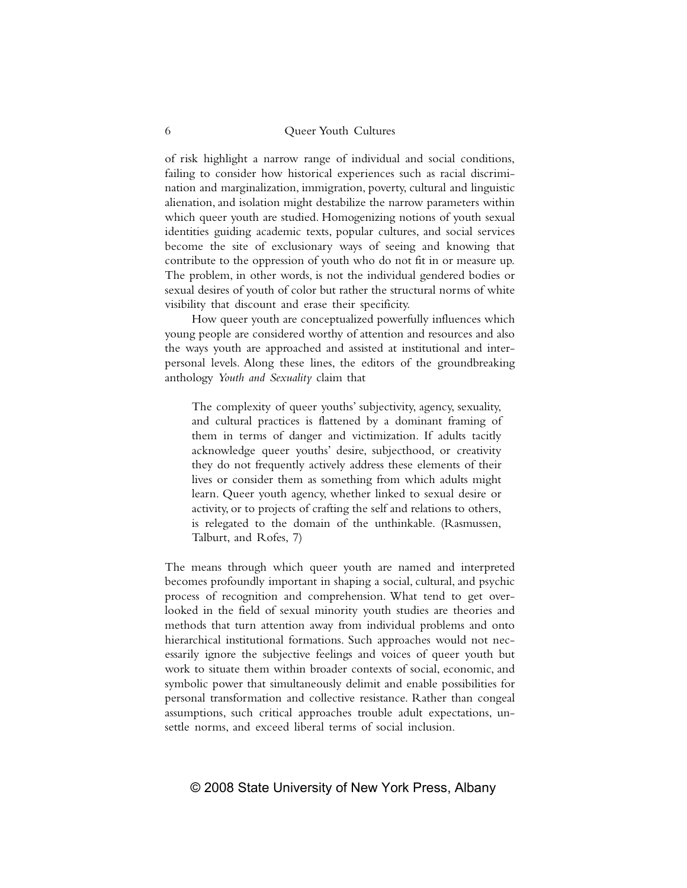of risk highlight a narrow range of individual and social conditions, failing to consider how historical experiences such as racial discrimination and marginalization, immigration, poverty, cultural and linguistic alienation, and isolation might destabilize the narrow parameters within which queer youth are studied. Homogenizing notions of youth sexual identities guiding academic texts, popular cultures, and social services become the site of exclusionary ways of seeing and knowing that contribute to the oppression of youth who do not fit in or measure up. The problem, in other words, is not the individual gendered bodies or sexual desires of youth of color but rather the structural norms of white visibility that discount and erase their specificity.

How queer youth are conceptualized powerfully influences which young people are considered worthy of attention and resources and also the ways youth are approached and assisted at institutional and interpersonal levels. Along these lines, the editors of the groundbreaking anthology *Youth and Sexuality* claim that

The complexity of queer youths' subjectivity, agency, sexuality, and cultural practices is flattened by a dominant framing of them in terms of danger and victimization. If adults tacitly acknowledge queer youths' desire, subjecthood, or creativity they do not frequently actively address these elements of their lives or consider them as something from which adults might learn. Queer youth agency, whether linked to sexual desire or activity, or to projects of crafting the self and relations to others, is relegated to the domain of the unthinkable. (Rasmussen, Talburt, and Rofes, 7)

The means through which queer youth are named and interpreted becomes profoundly important in shaping a social, cultural, and psychic process of recognition and comprehension. What tend to get overlooked in the field of sexual minority youth studies are theories and methods that turn attention away from individual problems and onto hierarchical institutional formations. Such approaches would not necessarily ignore the subjective feelings and voices of queer youth but work to situate them within broader contexts of social, economic, and symbolic power that simultaneously delimit and enable possibilities for personal transformation and collective resistance. Rather than congeal assumptions, such critical approaches trouble adult expectations, unsettle norms, and exceed liberal terms of social inclusion.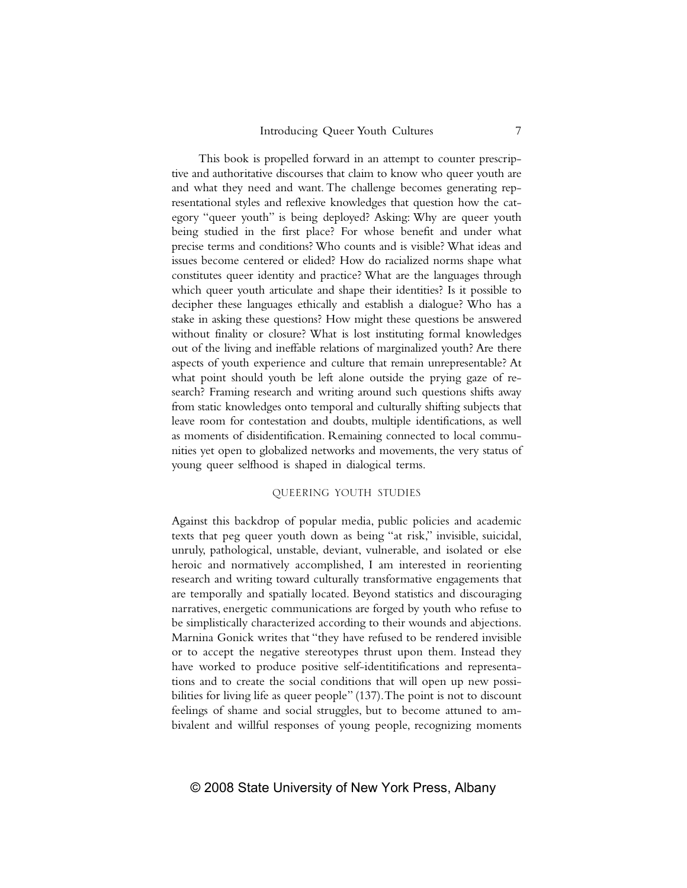This book is propelled forward in an attempt to counter prescriptive and authoritative discourses that claim to know who queer youth are and what they need and want. The challenge becomes generating representational styles and reflexive knowledges that question how the category "queer youth" is being deployed? Asking: Why are queer youth being studied in the first place? For whose benefit and under what precise terms and conditions? Who counts and is visible? What ideas and issues become centered or elided? How do racialized norms shape what constitutes queer identity and practice? What are the languages through which queer youth articulate and shape their identities? Is it possible to decipher these languages ethically and establish a dialogue? Who has a stake in asking these questions? How might these questions be answered without finality or closure? What is lost instituting formal knowledges out of the living and ineffable relations of marginalized youth? Are there aspects of youth experience and culture that remain unrepresentable? At what point should youth be left alone outside the prying gaze of research? Framing research and writing around such questions shifts away from static knowledges onto temporal and culturally shifting subjects that leave room for contestation and doubts, multiple identifications, as well as moments of disidentification. Remaining connected to local communities yet open to globalized networks and movements, the very status of young queer selfhood is shaped in dialogical terms.

#### QUEERING YOUTH STUDIES

Against this backdrop of popular media, public policies and academic texts that peg queer youth down as being "at risk," invisible, suicidal, unruly, pathological, unstable, deviant, vulnerable, and isolated or else heroic and normatively accomplished, I am interested in reorienting research and writing toward culturally transformative engagements that are temporally and spatially located. Beyond statistics and discouraging narratives, energetic communications are forged by youth who refuse to be simplistically characterized according to their wounds and abjections. Marnina Gonick writes that "they have refused to be rendered invisible or to accept the negative stereotypes thrust upon them. Instead they have worked to produce positive self-identitifications and representations and to create the social conditions that will open up new possibilities for living life as queer people" (137). The point is not to discount feelings of shame and social struggles, but to become attuned to ambivalent and willful responses of young people, recognizing moments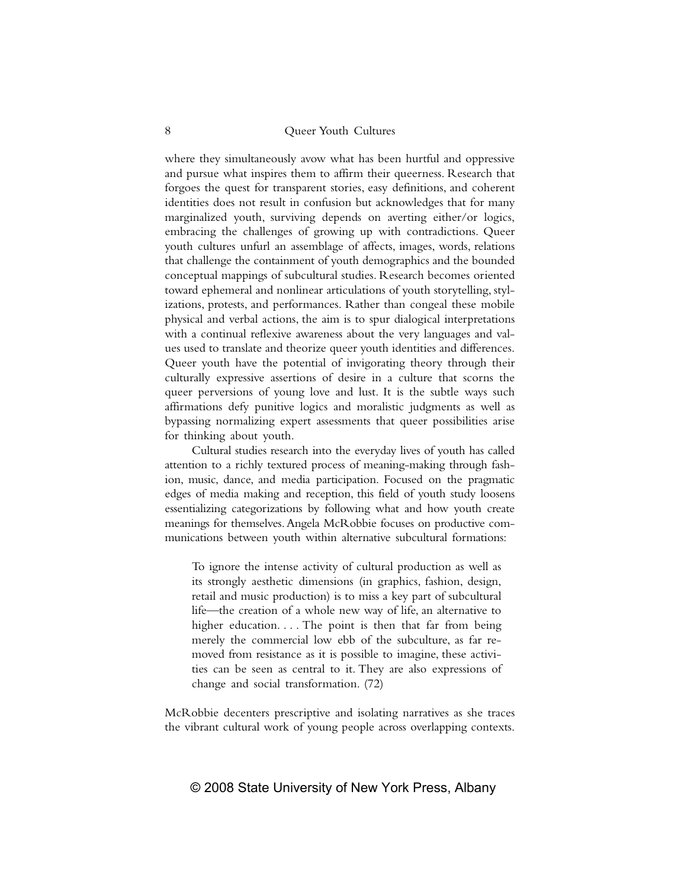where they simultaneously avow what has been hurtful and oppressive and pursue what inspires them to affirm their queerness. Research that forgoes the quest for transparent stories, easy definitions, and coherent identities does not result in confusion but acknowledges that for many marginalized youth, surviving depends on averting either/or logics, embracing the challenges of growing up with contradictions. Queer youth cultures unfurl an assemblage of affects, images, words, relations that challenge the containment of youth demographics and the bounded conceptual mappings of subcultural studies. Research becomes oriented toward ephemeral and nonlinear articulations of youth storytelling, stylizations, protests, and performances. Rather than congeal these mobile physical and verbal actions, the aim is to spur dialogical interpretations with a continual reflexive awareness about the very languages and values used to translate and theorize queer youth identities and differences. Queer youth have the potential of invigorating theory through their culturally expressive assertions of desire in a culture that scorns the queer perversions of young love and lust. It is the subtle ways such affirmations defy punitive logics and moralistic judgments as well as bypassing normalizing expert assessments that queer possibilities arise for thinking about youth.

Cultural studies research into the everyday lives of youth has called attention to a richly textured process of meaning-making through fashion, music, dance, and media participation. Focused on the pragmatic edges of media making and reception, this field of youth study loosens essentializing categorizations by following what and how youth create meanings for themselves. Angela McRobbie focuses on productive communications between youth within alternative subcultural formations:

To ignore the intense activity of cultural production as well as its strongly aesthetic dimensions (in graphics, fashion, design, retail and music production) is to miss a key part of subcultural life—the creation of a whole new way of life, an alternative to higher education. . . . The point is then that far from being merely the commercial low ebb of the subculture, as far removed from resistance as it is possible to imagine, these activities can be seen as central to it. They are also expressions of change and social transformation. (72)

McRobbie decenters prescriptive and isolating narratives as she traces the vibrant cultural work of young people across overlapping contexts.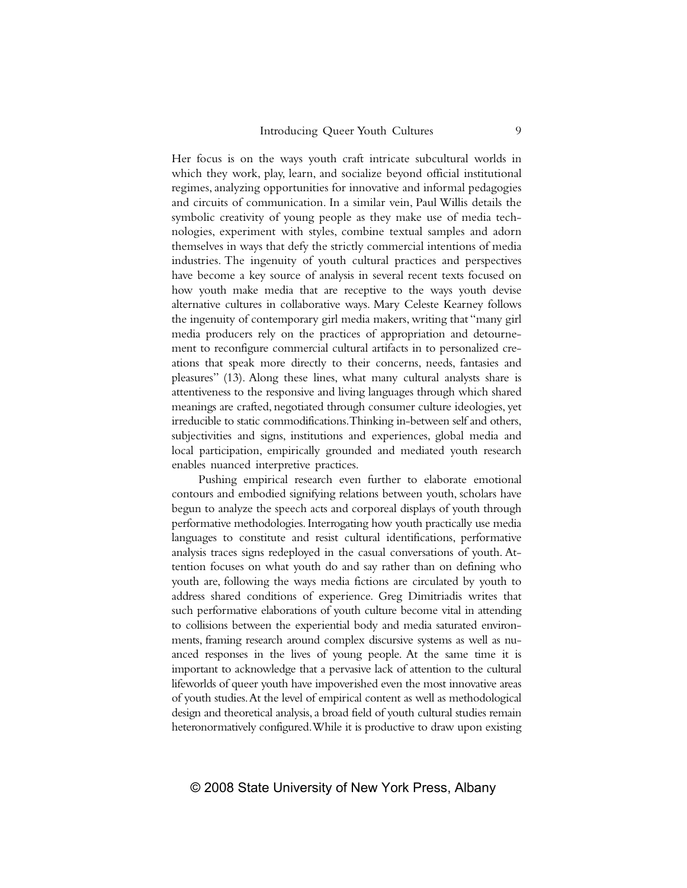Her focus is on the ways youth craft intricate subcultural worlds in which they work, play, learn, and socialize beyond official institutional regimes, analyzing opportunities for innovative and informal pedagogies and circuits of communication. In a similar vein, Paul Willis details the symbolic creativity of young people as they make use of media technologies, experiment with styles, combine textual samples and adorn themselves in ways that defy the strictly commercial intentions of media industries. The ingenuity of youth cultural practices and perspectives have become a key source of analysis in several recent texts focused on how youth make media that are receptive to the ways youth devise alternative cultures in collaborative ways. Mary Celeste Kearney follows the ingenuity of contemporary girl media makers, writing that "many girl media producers rely on the practices of appropriation and detournement to reconfigure commercial cultural artifacts in to personalized creations that speak more directly to their concerns, needs, fantasies and pleasures" (13). Along these lines, what many cultural analysts share is attentiveness to the responsive and living languages through which shared meanings are crafted, negotiated through consumer culture ideologies, yet irreducible to static commodifications. Thinking in-between self and others, subjectivities and signs, institutions and experiences, global media and local participation, empirically grounded and mediated youth research enables nuanced interpretive practices.

Pushing empirical research even further to elaborate emotional contours and embodied signifying relations between youth, scholars have begun to analyze the speech acts and corporeal displays of youth through performative methodologies. Interrogating how youth practically use media languages to constitute and resist cultural identifications, performative analysis traces signs redeployed in the casual conversations of youth. Attention focuses on what youth do and say rather than on defining who youth are, following the ways media fictions are circulated by youth to address shared conditions of experience. Greg Dimitriadis writes that such performative elaborations of youth culture become vital in attending to collisions between the experiential body and media saturated environments, framing research around complex discursive systems as well as nuanced responses in the lives of young people. At the same time it is important to acknowledge that a pervasive lack of attention to the cultural lifeworlds of queer youth have impoverished even the most innovative areas of youth studies. At the level of empirical content as well as methodological design and theoretical analysis, a broad field of youth cultural studies remain heteronormatively configured. While it is productive to draw upon existing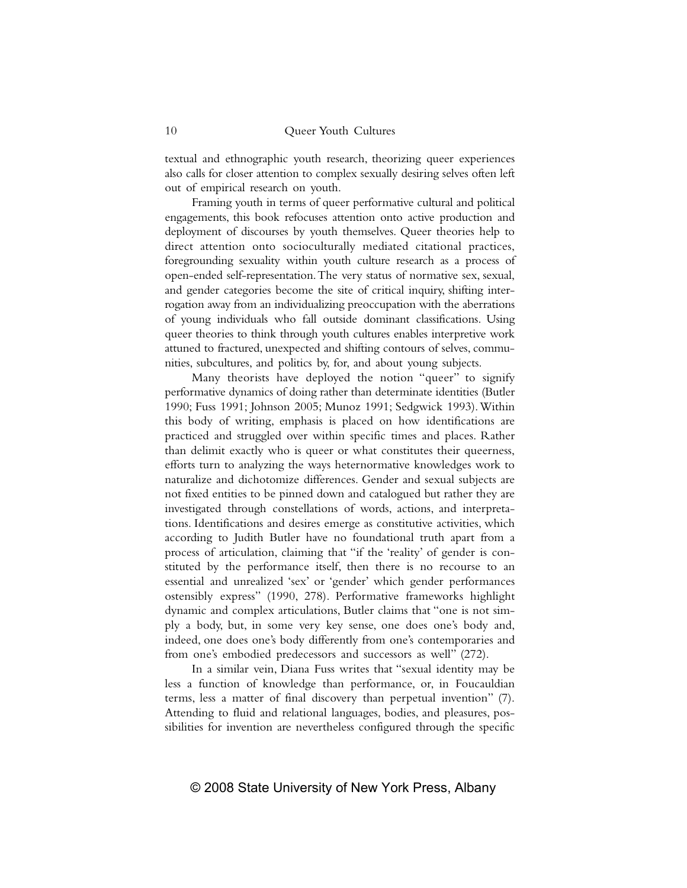textual and ethnographic youth research, theorizing queer experiences also calls for closer attention to complex sexually desiring selves often left out of empirical research on youth.

Framing youth in terms of queer performative cultural and political engagements, this book refocuses attention onto active production and deployment of discourses by youth themselves. Queer theories help to direct attention onto socioculturally mediated citational practices, foregrounding sexuality within youth culture research as a process of open-ended self-representation. The very status of normative sex, sexual, and gender categories become the site of critical inquiry, shifting interrogation away from an individualizing preoccupation with the aberrations of young individuals who fall outside dominant classifications. Using queer theories to think through youth cultures enables interpretive work attuned to fractured, unexpected and shifting contours of selves, communities, subcultures, and politics by, for, and about young subjects.

Many theorists have deployed the notion "queer" to signify performative dynamics of doing rather than determinate identities (Butler 1990; Fuss 1991; Johnson 2005; Munoz 1991; Sedgwick 1993). Within this body of writing, emphasis is placed on how identifications are practiced and struggled over within specific times and places. Rather than delimit exactly who is queer or what constitutes their queerness, efforts turn to analyzing the ways heternormative knowledges work to naturalize and dichotomize differences. Gender and sexual subjects are not fixed entities to be pinned down and catalogued but rather they are investigated through constellations of words, actions, and interpretations. Identifications and desires emerge as constitutive activities, which according to Judith Butler have no foundational truth apart from a process of articulation, claiming that "if the 'reality' of gender is constituted by the performance itself, then there is no recourse to an essential and unrealized 'sex' or 'gender' which gender performances ostensibly express" (1990, 278). Performative frameworks highlight dynamic and complex articulations, Butler claims that "one is not simply a body, but, in some very key sense, one does one's body and, indeed, one does one's body differently from one's contemporaries and from one's embodied predecessors and successors as well" (272).

In a similar vein, Diana Fuss writes that "sexual identity may be less a function of knowledge than performance, or, in Foucauldian terms, less a matter of final discovery than perpetual invention" (7). Attending to fluid and relational languages, bodies, and pleasures, possibilities for invention are nevertheless configured through the specific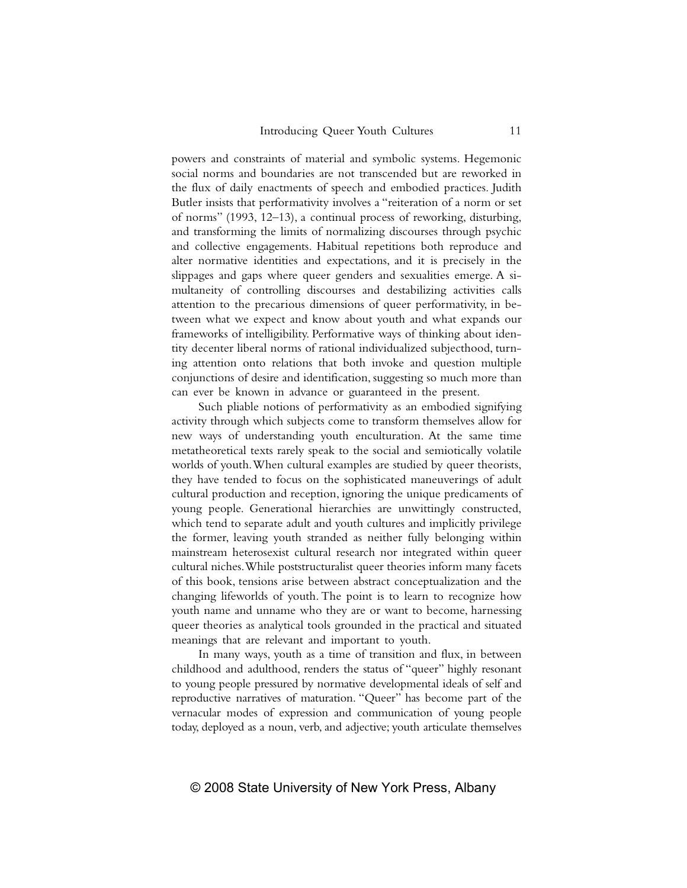powers and constraints of material and symbolic systems. Hegemonic social norms and boundaries are not transcended but are reworked in the flux of daily enactments of speech and embodied practices. Judith Butler insists that performativity involves a "reiteration of a norm or set of norms" (1993, 12–13), a continual process of reworking, disturbing, and transforming the limits of normalizing discourses through psychic and collective engagements. Habitual repetitions both reproduce and alter normative identities and expectations, and it is precisely in the slippages and gaps where queer genders and sexualities emerge. A simultaneity of controlling discourses and destabilizing activities calls attention to the precarious dimensions of queer performativity, in between what we expect and know about youth and what expands our frameworks of intelligibility. Performative ways of thinking about identity decenter liberal norms of rational individualized subjecthood, turning attention onto relations that both invoke and question multiple conjunctions of desire and identification, suggesting so much more than can ever be known in advance or guaranteed in the present.

Such pliable notions of performativity as an embodied signifying activity through which subjects come to transform themselves allow for new ways of understanding youth enculturation. At the same time metatheoretical texts rarely speak to the social and semiotically volatile worlds of youth. When cultural examples are studied by queer theorists, they have tended to focus on the sophisticated maneuverings of adult cultural production and reception, ignoring the unique predicaments of young people. Generational hierarchies are unwittingly constructed, which tend to separate adult and youth cultures and implicitly privilege the former, leaving youth stranded as neither fully belonging within mainstream heterosexist cultural research nor integrated within queer cultural niches. While poststructuralist queer theories inform many facets of this book, tensions arise between abstract conceptualization and the changing lifeworlds of youth. The point is to learn to recognize how youth name and unname who they are or want to become, harnessing queer theories as analytical tools grounded in the practical and situated meanings that are relevant and important to youth.

In many ways, youth as a time of transition and flux, in between childhood and adulthood, renders the status of "queer" highly resonant to young people pressured by normative developmental ideals of self and reproductive narratives of maturation. "Queer" has become part of the vernacular modes of expression and communication of young people today, deployed as a noun, verb, and adjective; youth articulate themselves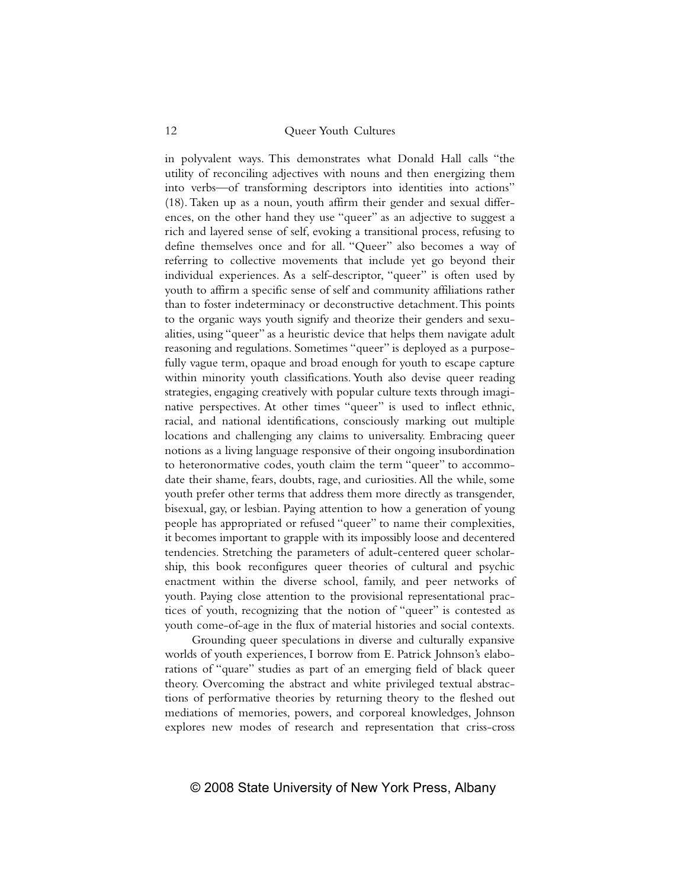in polyvalent ways. This demonstrates what Donald Hall calls "the utility of reconciling adjectives with nouns and then energizing them into verbs—of transforming descriptors into identities into actions" (18). Taken up as a noun, youth affirm their gender and sexual differences, on the other hand they use "queer" as an adjective to suggest a rich and layered sense of self, evoking a transitional process, refusing to define themselves once and for all. "Queer" also becomes a way of referring to collective movements that include yet go beyond their individual experiences. As a self-descriptor, "queer" is often used by youth to affirm a specific sense of self and community affiliations rather than to foster indeterminacy or deconstructive detachment. This points to the organic ways youth signify and theorize their genders and sexualities, using "queer" as a heuristic device that helps them navigate adult reasoning and regulations. Sometimes "queer" is deployed as a purposefully vague term, opaque and broad enough for youth to escape capture within minority youth classifications. Youth also devise queer reading strategies, engaging creatively with popular culture texts through imaginative perspectives. At other times "queer" is used to inflect ethnic, racial, and national identifications, consciously marking out multiple locations and challenging any claims to universality. Embracing queer notions as a living language responsive of their ongoing insubordination to heteronormative codes, youth claim the term "queer" to accommodate their shame, fears, doubts, rage, and curiosities. All the while, some youth prefer other terms that address them more directly as transgender, bisexual, gay, or lesbian. Paying attention to how a generation of young people has appropriated or refused "queer" to name their complexities, it becomes important to grapple with its impossibly loose and decentered tendencies. Stretching the parameters of adult-centered queer scholarship, this book reconfigures queer theories of cultural and psychic enactment within the diverse school, family, and peer networks of youth. Paying close attention to the provisional representational practices of youth, recognizing that the notion of "queer" is contested as youth come-of-age in the flux of material histories and social contexts.

Grounding queer speculations in diverse and culturally expansive worlds of youth experiences, I borrow from E. Patrick Johnson's elaborations of "quare" studies as part of an emerging field of black queer theory. Overcoming the abstract and white privileged textual abstractions of performative theories by returning theory to the fleshed out mediations of memories, powers, and corporeal knowledges, Johnson explores new modes of research and representation that criss-cross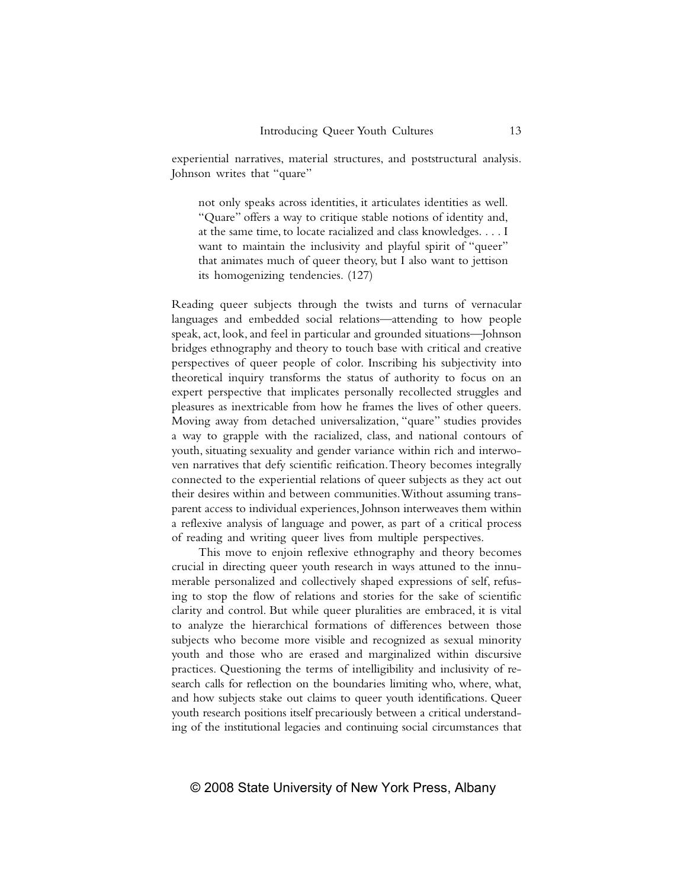experiential narratives, material structures, and poststructural analysis. Johnson writes that "quare"

not only speaks across identities, it articulates identities as well. "Quare" offers a way to critique stable notions of identity and, at the same time, to locate racialized and class knowledges. . . . I want to maintain the inclusivity and playful spirit of "queer" that animates much of queer theory, but I also want to jettison its homogenizing tendencies. (127)

Reading queer subjects through the twists and turns of vernacular languages and embedded social relations—attending to how people speak, act, look, and feel in particular and grounded situations—Johnson bridges ethnography and theory to touch base with critical and creative perspectives of queer people of color. Inscribing his subjectivity into theoretical inquiry transforms the status of authority to focus on an expert perspective that implicates personally recollected struggles and pleasures as inextricable from how he frames the lives of other queers. Moving away from detached universalization, "quare" studies provides a way to grapple with the racialized, class, and national contours of youth, situating sexuality and gender variance within rich and interwoven narratives that defy scientific reification. Theory becomes integrally connected to the experiential relations of queer subjects as they act out their desires within and between communities. Without assuming transparent access to individual experiences, Johnson interweaves them within a reflexive analysis of language and power, as part of a critical process of reading and writing queer lives from multiple perspectives.

This move to enjoin reflexive ethnography and theory becomes crucial in directing queer youth research in ways attuned to the innumerable personalized and collectively shaped expressions of self, refusing to stop the flow of relations and stories for the sake of scientific clarity and control. But while queer pluralities are embraced, it is vital to analyze the hierarchical formations of differences between those subjects who become more visible and recognized as sexual minority youth and those who are erased and marginalized within discursive practices. Questioning the terms of intelligibility and inclusivity of research calls for reflection on the boundaries limiting who, where, what, and how subjects stake out claims to queer youth identifications. Queer youth research positions itself precariously between a critical understanding of the institutional legacies and continuing social circumstances that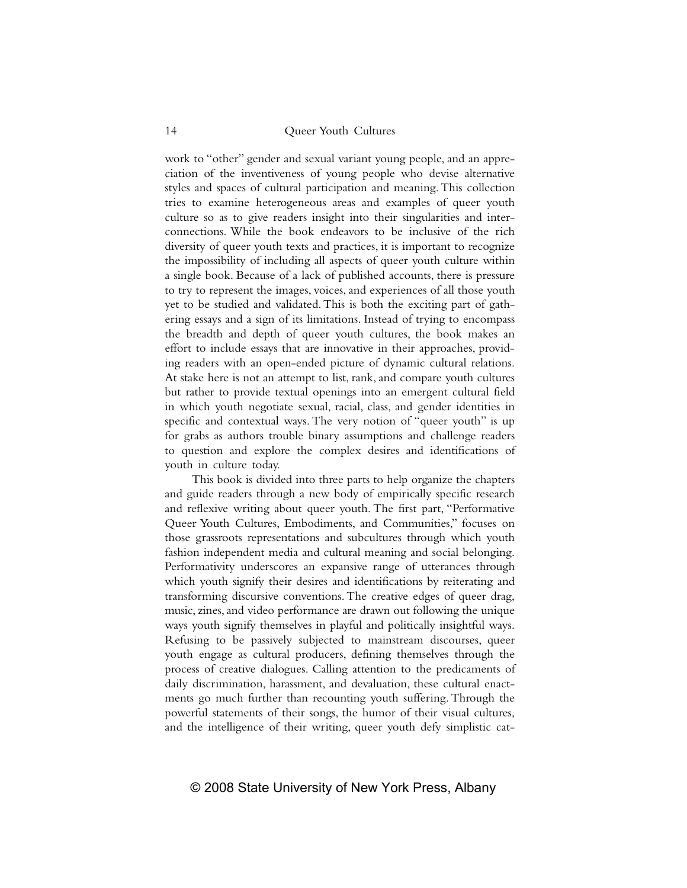work to "other" gender and sexual variant young people, and an appreciation of the inventiveness of young people who devise alternative styles and spaces of cultural participation and meaning. This collection tries to examine heterogeneous areas and examples of queer youth culture so as to give readers insight into their singularities and interconnections. While the book endeavors to be inclusive of the rich diversity of queer youth texts and practices, it is important to recognize the impossibility of including all aspects of queer youth culture within a single book. Because of a lack of published accounts, there is pressure to try to represent the images, voices, and experiences of all those youth yet to be studied and validated. This is both the exciting part of gathering essays and a sign of its limitations. Instead of trying to encompass the breadth and depth of queer youth cultures, the book makes an effort to include essays that are innovative in their approaches, providing readers with an open-ended picture of dynamic cultural relations. At stake here is not an attempt to list, rank, and compare youth cultures but rather to provide textual openings into an emergent cultural field in which youth negotiate sexual, racial, class, and gender identities in specific and contextual ways. The very notion of "queer youth" is up for grabs as authors trouble binary assumptions and challenge readers to question and explore the complex desires and identifications of youth in culture today.

This book is divided into three parts to help organize the chapters and guide readers through a new body of empirically specific research and reflexive writing about queer youth. The first part, "Performative Queer Youth Cultures, Embodiments, and Communities," focuses on those grassroots representations and subcultures through which youth fashion independent media and cultural meaning and social belonging. Performativity underscores an expansive range of utterances through which youth signify their desires and identifications by reiterating and transforming discursive conventions. The creative edges of queer drag, music, zines, and video performance are drawn out following the unique ways youth signify themselves in playful and politically insightful ways. Refusing to be passively subjected to mainstream discourses, queer youth engage as cultural producers, defining themselves through the process of creative dialogues. Calling attention to the predicaments of daily discrimination, harassment, and devaluation, these cultural enactments go much further than recounting youth suffering. Through the powerful statements of their songs, the humor of their visual cultures, and the intelligence of their writing, queer youth defy simplistic cat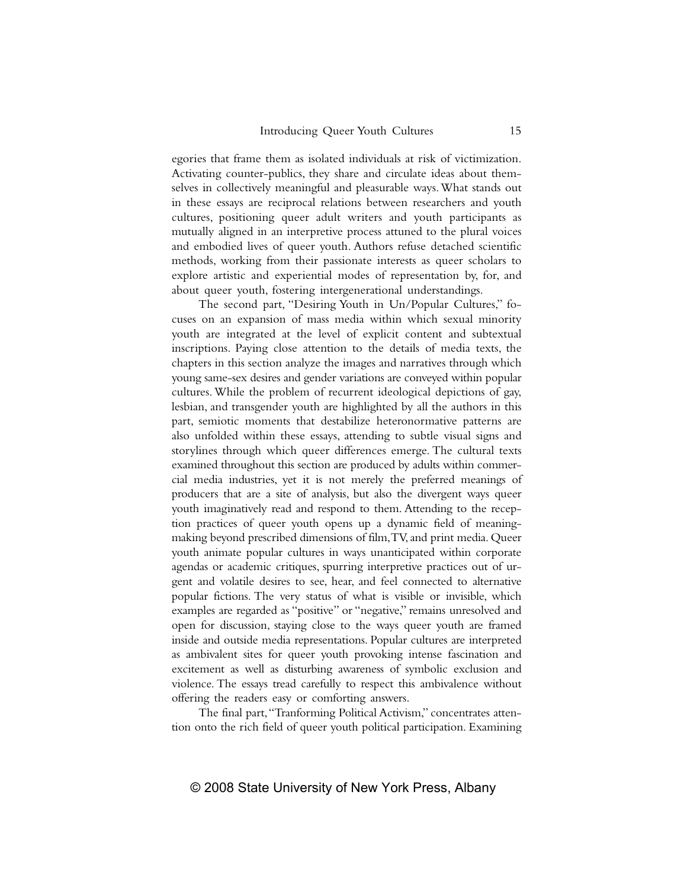egories that frame them as isolated individuals at risk of victimization. Activating counter-publics, they share and circulate ideas about themselves in collectively meaningful and pleasurable ways. What stands out in these essays are reciprocal relations between researchers and youth cultures, positioning queer adult writers and youth participants as mutually aligned in an interpretive process attuned to the plural voices and embodied lives of queer youth. Authors refuse detached scientific methods, working from their passionate interests as queer scholars to explore artistic and experiential modes of representation by, for, and about queer youth, fostering intergenerational understandings.

The second part, "Desiring Youth in Un/Popular Cultures," focuses on an expansion of mass media within which sexual minority youth are integrated at the level of explicit content and subtextual inscriptions. Paying close attention to the details of media texts, the chapters in this section analyze the images and narratives through which young same-sex desires and gender variations are conveyed within popular cultures. While the problem of recurrent ideological depictions of gay, lesbian, and transgender youth are highlighted by all the authors in this part, semiotic moments that destabilize heteronormative patterns are also unfolded within these essays, attending to subtle visual signs and storylines through which queer differences emerge. The cultural texts examined throughout this section are produced by adults within commercial media industries, yet it is not merely the preferred meanings of producers that are a site of analysis, but also the divergent ways queer youth imaginatively read and respond to them. Attending to the reception practices of queer youth opens up a dynamic field of meaningmaking beyond prescribed dimensions of film, TV, and print media. Queer youth animate popular cultures in ways unanticipated within corporate agendas or academic critiques, spurring interpretive practices out of urgent and volatile desires to see, hear, and feel connected to alternative popular fictions. The very status of what is visible or invisible, which examples are regarded as "positive" or "negative," remains unresolved and open for discussion, staying close to the ways queer youth are framed inside and outside media representations. Popular cultures are interpreted as ambivalent sites for queer youth provoking intense fascination and excitement as well as disturbing awareness of symbolic exclusion and violence. The essays tread carefully to respect this ambivalence without offering the readers easy or comforting answers.

The final part, "Tranforming Political Activism," concentrates attention onto the rich field of queer youth political participation. Examining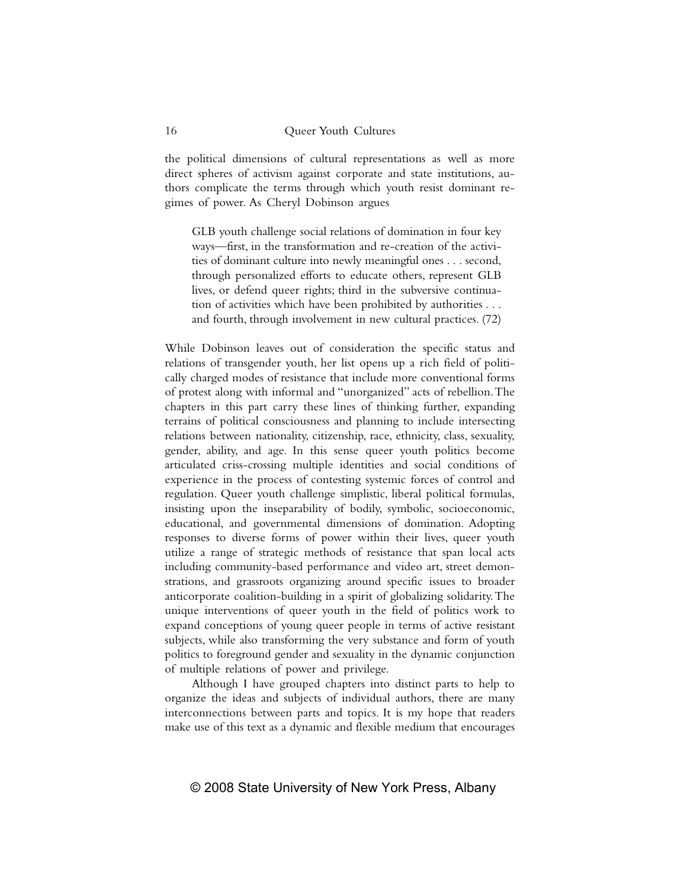#### 16 Queer Youth Cultures

the political dimensions of cultural representations as well as more direct spheres of activism against corporate and state institutions, authors complicate the terms through which youth resist dominant regimes of power. As Cheryl Dobinson argues

GLB youth challenge social relations of domination in four key ways—first, in the transformation and re-creation of the activities of dominant culture into newly meaningful ones . . . second, through personalized efforts to educate others, represent GLB lives, or defend queer rights; third in the subversive continuation of activities which have been prohibited by authorities . . . and fourth, through involvement in new cultural practices. (72)

While Dobinson leaves out of consideration the specific status and relations of transgender youth, her list opens up a rich field of politically charged modes of resistance that include more conventional forms of protest along with informal and "unorganized" acts of rebellion. The chapters in this part carry these lines of thinking further, expanding terrains of political consciousness and planning to include intersecting relations between nationality, citizenship, race, ethnicity, class, sexuality, gender, ability, and age. In this sense queer youth politics become articulated criss-crossing multiple identities and social conditions of experience in the process of contesting systemic forces of control and regulation. Queer youth challenge simplistic, liberal political formulas, insisting upon the inseparability of bodily, symbolic, socioeconomic, educational, and governmental dimensions of domination. Adopting responses to diverse forms of power within their lives, queer youth utilize a range of strategic methods of resistance that span local acts including community-based performance and video art, street demonstrations, and grassroots organizing around specific issues to broader anticorporate coalition-building in a spirit of globalizing solidarity. The unique interventions of queer youth in the field of politics work to expand conceptions of young queer people in terms of active resistant subjects, while also transforming the very substance and form of youth politics to foreground gender and sexuality in the dynamic conjunction of multiple relations of power and privilege.

Although I have grouped chapters into distinct parts to help to organize the ideas and subjects of individual authors, there are many interconnections between parts and topics. It is my hope that readers make use of this text as a dynamic and flexible medium that encourages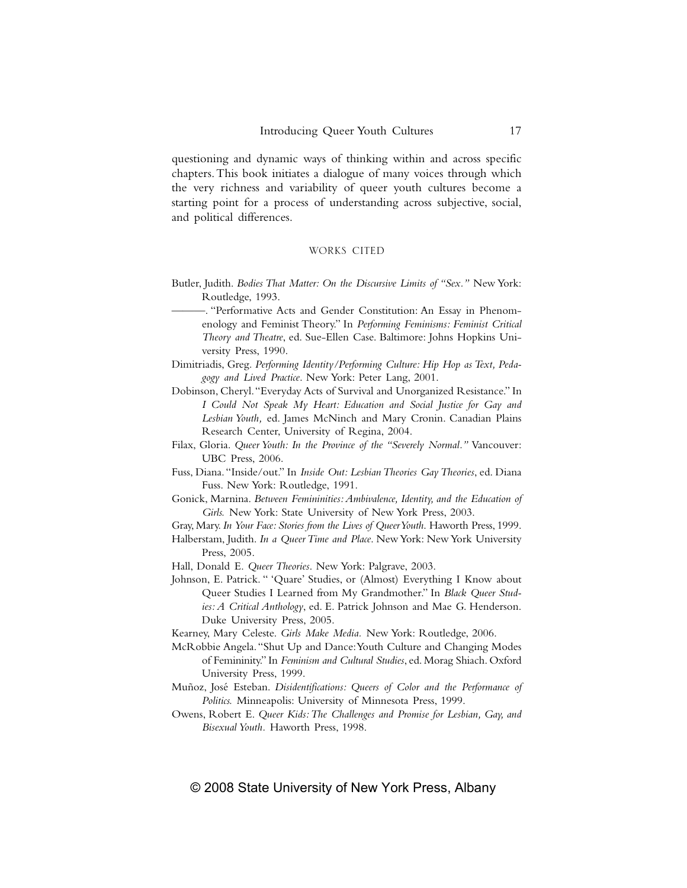questioning and dynamic ways of thinking within and across specific chapters. This book initiates a dialogue of many voices through which the very richness and variability of queer youth cultures become a starting point for a process of understanding across subjective, social, and political differences.

#### WORKS CITED

- Butler, Judith. *Bodies That Matter: On the Discursive Limits of "Sex."* New York: Routledge, 1993.
	- ———. "Performative Acts and Gender Constitution: An Essay in Phenomenology and Feminist Theory." In *Performing Feminisms: Feminist Critical Theory and Theatre*, ed. Sue-Ellen Case. Baltimore: Johns Hopkins University Press, 1990.
- Dimitriadis, Greg*. Performing Identity/Performing Culture: Hip Hop as Text, Pedagogy and Lived Practice*. New York: Peter Lang, 2001.
- Dobinson, Cheryl. "Everyday Acts of Survival and Unorganized Resistance." In *I Could Not Speak My Heart: Education and Social Justice for Gay and Lesbian Youth,* ed. James McNinch and Mary Cronin. Canadian Plains Research Center, University of Regina, 2004.
- Filax, Gloria. *Queer Youth: In the Province of the "Severely Normal."* Vancouver: UBC Press, 2006.
- Fuss, Diana. "Inside/out." In *Inside Out: Lesbian Theories Gay Theories*, ed. Diana Fuss. New York: Routledge, 1991.
- Gonick, Marnina. *Between Femininities: Ambivalence, Identity, and the Education of Girls.* New York: State University of New York Press, 2003.
- Gray, Mary. *In Your Face: Stories from the Lives of Queer Youth*. Haworth Press, 1999.
- Halberstam, Judith. *In a Queer Time and Place*. New York: New York University Press, 2005.
- Hall, Donald E. *Queer Theories*. New York: Palgrave, 2003.
- Johnson, E. Patrick. " 'Quare' Studies, or (Almost) Everything I Know about Queer Studies I Learned from My Grandmother." In *Black Queer Studies: A Critical Anthology*, ed. E. Patrick Johnson and Mae G. Henderson. Duke University Press, 2005.
- Kearney, Mary Celeste. *Girls Make Media.* New York: Routledge, 2006.
- McRobbie Angela. "Shut Up and Dance: Youth Culture and Changing Modes of Femininity." In *Feminism and Cultural Studies*, ed. Morag Shiach. Oxford University Press, 1999.
- Muñoz, José Esteban. *Disidentifications: Queers of Color and the Performance of Politics.* Minneapolis: University of Minnesota Press, 1999.
- Owens, Robert E. *Queer Kids: The Challenges and Promise for Lesbian, Gay, and Bisexual Youth.* Haworth Press, 1998.